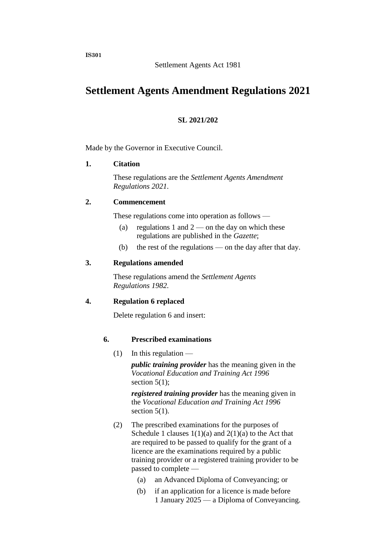# **Settlement Agents Amendment Regulations 2021**

# **SL 2021/202**

Made by the Governor in Executive Council.

#### **1. Citation**

These regulations are the *Settlement Agents Amendment Regulations 2021*.

#### **2. Commencement**

These regulations come into operation as follows —

- (a) regulations 1 and  $2$  on the day on which these regulations are published in the *Gazette*;
- (b) the rest of the regulations on the day after that day.

### **3. Regulations amended**

These regulations amend the *Settlement Agents Regulations 1982*.

# **4. Regulation 6 replaced**

Delete regulation 6 and insert:

# **6. Prescribed examinations**

 $(1)$  In this regulation —

*public training provider* has the meaning given in the *Vocational Education and Training Act 1996* section  $5(1)$ ;

*registered training provider* has the meaning given in the *Vocational Education and Training Act 1996* section  $5(1)$ .

- (2) The prescribed examinations for the purposes of Schedule 1 clauses  $1(1)(a)$  and  $2(1)(a)$  to the Act that are required to be passed to qualify for the grant of a licence are the examinations required by a public training provider or a registered training provider to be passed to complete —
	- (a) an Advanced Diploma of Conveyancing; or
	- (b) if an application for a licence is made before 1 January 2025 — a Diploma of Conveyancing.

**IS301**